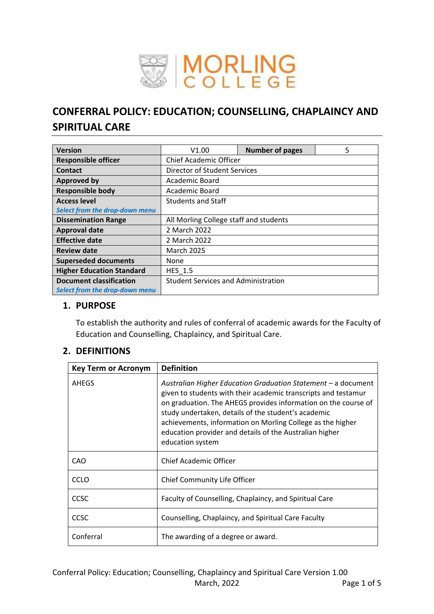

# **CONFERRAL POLICY: EDUCATION; COUNSELLING, CHAPLAINCY AND SPIRITUAL CARE**

| <b>Version</b>                                                   | V1.00                                      | <b>Number of pages</b> | 5 |
|------------------------------------------------------------------|--------------------------------------------|------------------------|---|
| <b>Responsible officer</b>                                       | <b>Chief Academic Officer</b>              |                        |   |
| <b>Contact</b>                                                   | Director of Student Services               |                        |   |
| <b>Approved by</b>                                               | Academic Board                             |                        |   |
| <b>Responsible body</b>                                          | Academic Board                             |                        |   |
| <b>Access level</b>                                              | <b>Students and Staff</b>                  |                        |   |
| Select from the drop-down menu                                   |                                            |                        |   |
| <b>Dissemination Range</b>                                       | All Morling College staff and students     |                        |   |
| <b>Approval date</b>                                             | 2 March 2022                               |                        |   |
| <b>Effective date</b>                                            | 2 March 2022                               |                        |   |
| <b>Review date</b>                                               | <b>March 2025</b>                          |                        |   |
| <b>Superseded documents</b>                                      | None                                       |                        |   |
| <b>Higher Education Standard</b>                                 | <b>HES 1.5</b>                             |                        |   |
| <b>Document classification</b><br>Select from the drop-down menu | <b>Student Services and Administration</b> |                        |   |

#### **1. PURPOSE**

To establish the authority and rules of conferral of academic awards for the Faculty of Education and Counselling, Chaplaincy, and Spiritual Care.

## **2. DEFINITIONS**

| <b>Key Term or Acronym</b> | <b>Definition</b>                                                                                                                                                                                                                                                                                                                                                                                     |
|----------------------------|-------------------------------------------------------------------------------------------------------------------------------------------------------------------------------------------------------------------------------------------------------------------------------------------------------------------------------------------------------------------------------------------------------|
| AHEGS                      | Australian Higher Education Graduation Statement – a document<br>given to students with their academic transcripts and testamur<br>on graduation. The AHEGS provides information on the course of<br>study undertaken, details of the student's academic<br>achievements, information on Morling College as the higher<br>education provider and details of the Australian higher<br>education system |
| CAO                        | Chief Academic Officer                                                                                                                                                                                                                                                                                                                                                                                |
| <b>CCLO</b>                | Chief Community Life Officer                                                                                                                                                                                                                                                                                                                                                                          |
| <b>CCSC</b>                | Faculty of Counselling, Chaplaincy, and Spiritual Care                                                                                                                                                                                                                                                                                                                                                |
| CCSC                       | Counselling, Chaplaincy, and Spiritual Care Faculty                                                                                                                                                                                                                                                                                                                                                   |
| Conferral                  | The awarding of a degree or award.                                                                                                                                                                                                                                                                                                                                                                    |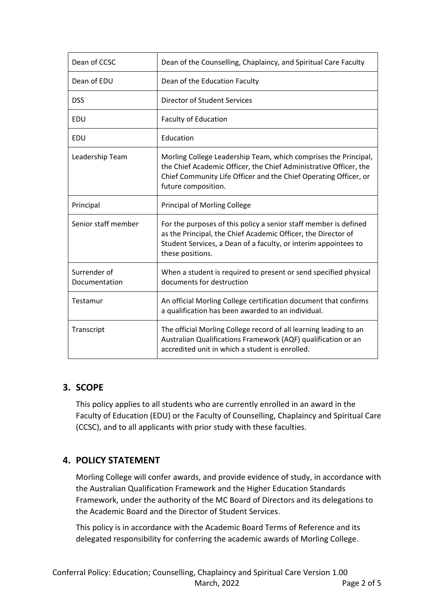| Dean of CCSC                  | Dean of the Counselling, Chaplaincy, and Spiritual Care Faculty                                                                                                                                                                 |  |  |
|-------------------------------|---------------------------------------------------------------------------------------------------------------------------------------------------------------------------------------------------------------------------------|--|--|
| Dean of EDU                   | Dean of the Education Faculty                                                                                                                                                                                                   |  |  |
| <b>DSS</b>                    | Director of Student Services                                                                                                                                                                                                    |  |  |
| EDU                           | <b>Faculty of Education</b>                                                                                                                                                                                                     |  |  |
| EDU                           | Education                                                                                                                                                                                                                       |  |  |
| Leadership Team               | Morling College Leadership Team, which comprises the Principal,<br>the Chief Academic Officer, the Chief Administrative Officer, the<br>Chief Community Life Officer and the Chief Operating Officer, or<br>future composition. |  |  |
| Principal                     | <b>Principal of Morling College</b>                                                                                                                                                                                             |  |  |
| Senior staff member           | For the purposes of this policy a senior staff member is defined<br>as the Principal, the Chief Academic Officer, the Director of<br>Student Services, a Dean of a faculty, or interim appointees to<br>these positions.        |  |  |
| Surrender of<br>Documentation | When a student is required to present or send specified physical<br>documents for destruction                                                                                                                                   |  |  |
| Testamur                      | An official Morling College certification document that confirms<br>a qualification has been awarded to an individual.                                                                                                          |  |  |
| Transcript                    | The official Morling College record of all learning leading to an<br>Australian Qualifications Framework (AQF) qualification or an<br>accredited unit in which a student is enrolled.                                           |  |  |

# **3. SCOPE**

This policy applies to all students who are currently enrolled in an award in the Faculty of Education (EDU) or the Faculty of Counselling, Chaplaincy and Spiritual Care (CCSC), and to all applicants with prior study with these faculties.

# **4. POLICY STATEMENT**

Morling College will confer awards, and provide evidence of study, in accordance with the Australian Qualification Framework and the Higher Education Standards Framework, under the authority of the MC Board of Directors and its delegations to the Academic Board and the Director of Student Services.

This policy is in accordance with the Academic Board Terms of Reference and its delegated responsibility for conferring the academic awards of Morling College.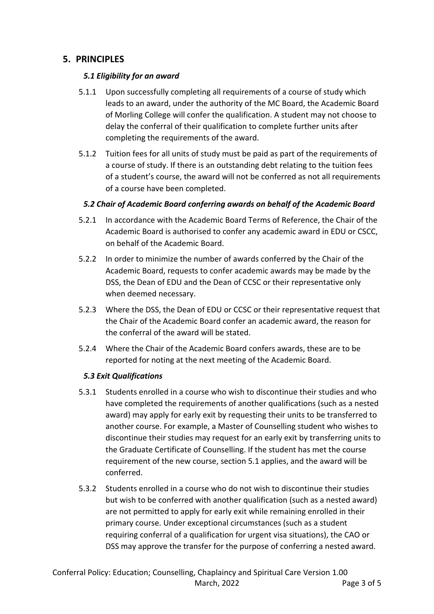# **5. PRINCIPLES**

#### *5.1 Eligibility for an award*

- 5.1.1 Upon successfully completing all requirements of a course of study which leads to an award, under the authority of the MC Board, the Academic Board of Morling College will confer the qualification. A student may not choose to delay the conferral of their qualification to complete further units after completing the requirements of the award.
- 5.1.2 Tuition fees for all units of study must be paid as part of the requirements of a course of study. If there is an outstanding debt relating to the tuition fees of a student's course, the award will not be conferred as not all requirements of a course have been completed.

#### *5.2 Chair of Academic Board conferring awards on behalf of the Academic Board*

- 5.2.1 In accordance with the Academic Board Terms of Reference, the Chair of the Academic Board is authorised to confer any academic award in EDU or CSCC, on behalf of the Academic Board.
- 5.2.2 In order to minimize the number of awards conferred by the Chair of the Academic Board, requests to confer academic awards may be made by the DSS, the Dean of EDU and the Dean of CCSC or their representative only when deemed necessary.
- 5.2.3 Where the DSS, the Dean of EDU or CCSC or their representative request that the Chair of the Academic Board confer an academic award, the reason for the conferral of the award will be stated.
- 5.2.4 Where the Chair of the Academic Board confers awards, these are to be reported for noting at the next meeting of the Academic Board.

## *5.3 Exit Qualifications*

- 5.3.1 Students enrolled in a course who wish to discontinue their studies and who have completed the requirements of another qualifications (such as a nested award) may apply for early exit by requesting their units to be transferred to another course. For example, a Master of Counselling student who wishes to discontinue their studies may request for an early exit by transferring units to the Graduate Certificate of Counselling. If the student has met the course requirement of the new course, section 5.1 applies, and the award will be conferred.
- 5.3.2 Students enrolled in a course who do not wish to discontinue their studies but wish to be conferred with another qualification (such as a nested award) are not permitted to apply for early exit while remaining enrolled in their primary course. Under exceptional circumstances (such as a student requiring conferral of a qualification for urgent visa situations), the CAO or DSS may approve the transfer for the purpose of conferring a nested award.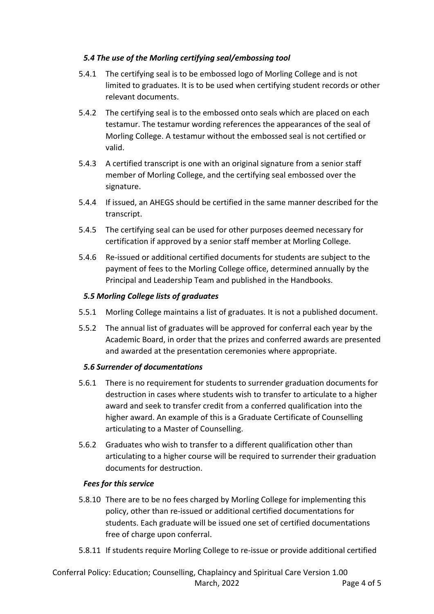#### *5.4 The use of the Morling certifying seal/embossing tool*

- 5.4.1 The certifying seal is to be embossed logo of Morling College and is not limited to graduates. It is to be used when certifying student records or other relevant documents.
- 5.4.2 The certifying seal is to the embossed onto seals which are placed on each testamur. The testamur wording references the appearances of the seal of Morling College. A testamur without the embossed seal is not certified or valid.
- 5.4.3 A certified transcript is one with an original signature from a senior staff member of Morling College, and the certifying seal embossed over the signature.
- 5.4.4 If issued, an AHEGS should be certified in the same manner described for the transcript.
- 5.4.5 The certifying seal can be used for other purposes deemed necessary for certification if approved by a senior staff member at Morling College.
- 5.4.6 Re-issued or additional certified documents for students are subject to the payment of fees to the Morling College office, determined annually by the Principal and Leadership Team and published in the Handbooks.

#### *5.5 Morling College lists of graduates*

- 5.5.1 Morling College maintains a list of graduates. It is not a published document.
- 5.5.2 The annual list of graduates will be approved for conferral each year by the Academic Board, in order that the prizes and conferred awards are presented and awarded at the presentation ceremonies where appropriate.

#### *5.6 Surrender of documentations*

- 5.6.1 There is no requirement for students to surrender graduation documents for destruction in cases where students wish to transfer to articulate to a higher award and seek to transfer credit from a conferred qualification into the higher award. An example of this is a Graduate Certificate of Counselling articulating to a Master of Counselling.
- 5.6.2 Graduates who wish to transfer to a different qualification other than articulating to a higher course will be required to surrender their graduation documents for destruction.

#### *Fees for this service*

- 5.8.10 There are to be no fees charged by Morling College for implementing this policy, other than re-issued or additional certified documentations for students. Each graduate will be issued one set of certified documentations free of charge upon conferral.
- 5.8.11 If students require Morling College to re-issue or provide additional certified